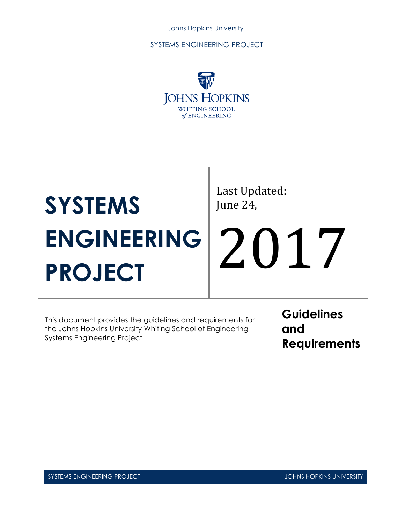

# **SYSTEMS ENGINEERING PROJECT**

Last Updated: June 24,

2017

This document provides the guidelines and requirements for the Johns Hopkins University Whiting School of Engineering Systems Engineering Project

**Guidelines and Requirements**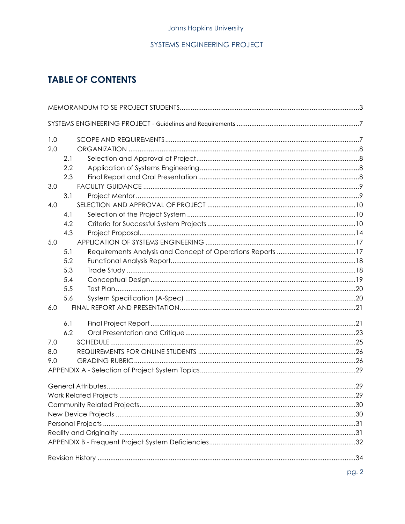# **TABLE OF CONTENTS**

| 1.0 |     |  |  |  |  |
|-----|-----|--|--|--|--|
| 2.0 |     |  |  |  |  |
|     | 2.1 |  |  |  |  |
|     | 2.2 |  |  |  |  |
|     | 2.3 |  |  |  |  |
| 3.0 |     |  |  |  |  |
|     | 3.1 |  |  |  |  |
| 4.0 |     |  |  |  |  |
|     | 4.1 |  |  |  |  |
|     | 4.2 |  |  |  |  |
|     | 4.3 |  |  |  |  |
| 5.0 |     |  |  |  |  |
|     | 5.1 |  |  |  |  |
|     | 5.2 |  |  |  |  |
|     | 5.3 |  |  |  |  |
|     | 5.4 |  |  |  |  |
|     | 5.5 |  |  |  |  |
|     | 5.6 |  |  |  |  |
| 6.0 |     |  |  |  |  |
|     | 6.1 |  |  |  |  |
|     | 6.2 |  |  |  |  |
| 7.0 |     |  |  |  |  |
| 8.0 |     |  |  |  |  |
| 9.0 |     |  |  |  |  |
|     |     |  |  |  |  |
|     |     |  |  |  |  |
|     |     |  |  |  |  |
|     |     |  |  |  |  |
|     |     |  |  |  |  |
|     |     |  |  |  |  |
|     |     |  |  |  |  |
|     |     |  |  |  |  |
|     |     |  |  |  |  |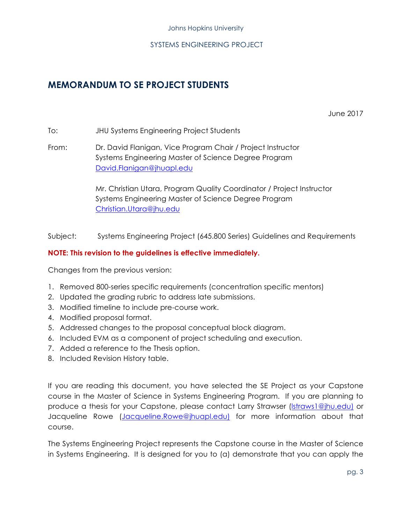## **MEMORANDUM TO SE PROJECT STUDENTS**

June 2017

To: JHU Systems Engineering Project Students

From: Dr. David Flanigan, Vice Program Chair / Project Instructor Systems Engineering Master of Science Degree Program David.Flanigan@jhuapl.edu

> Mr. Christian Utara, Program Quality Coordinator / Project Instructor Systems Engineering Master of Science Degree Program Christian.Utara@jhu.edu

Subject: Systems Engineering Project (645.800 Series) Guidelines and Requirements

#### **NOTE: This revision to the guidelines is effective immediately.**

Changes from the previous version:

- 1. Removed 800-series specific requirements (concentration specific mentors)
- 2. Updated the grading rubric to address late submissions.
- 3. Modified timeline to include pre-course work.
- 4. Modified proposal format.
- 5. Addressed changes to the proposal conceptual block diagram.
- 6. Included EVM as a component of project scheduling and execution.
- 7. Added a reference to the Thesis option.
- 8. Included Revision History table.

If you are reading this document, you have selected the SE Project as your Capstone course in the Master of Science in Systems Engineering Program. If you are planning to produce a thesis for your Capstone, please contact Larry Strawser (lstraws1@jhu.edu) or Jacqueline Rowe (Jacqueline.Rowe@jhuapl.edu) for more information about that course.

The Systems Engineering Project represents the Capstone course in the Master of Science in Systems Engineering. It is designed for you to (a) demonstrate that you can apply the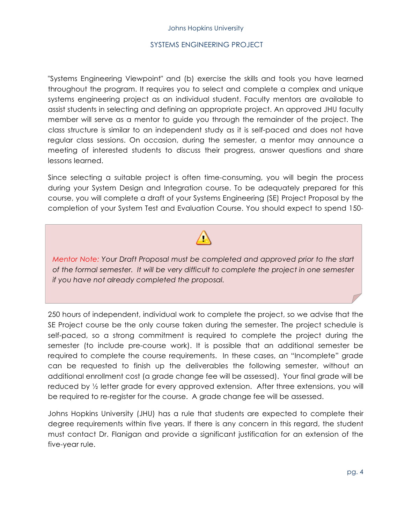"Systems Engineering Viewpoint" and (b) exercise the skills and tools you have learned throughout the program. It requires you to select and complete a complex and unique systems engineering project as an individual student. Faculty mentors are available to assist students in selecting and defining an appropriate project. An approved JHU faculty member will serve as a mentor to guide you through the remainder of the project. The class structure is similar to an independent study as it is self-paced and does not have regular class sessions. On occasion, during the semester, a mentor may announce a meeting of interested students to discuss their progress, answer questions and share lessons learned.

Since selecting a suitable project is often time-consuming, you will begin the process during your System Design and Integration course. To be adequately prepared for this course, you will complete a draft of your Systems Engineering (SE) Project Proposal by the completion of your System Test and Evaluation Course. You should expect to spend 150-

*Mentor Note: Your Draft Proposal must be completed and approved prior to the start of the formal semester. It will be very difficult to complete the project in one semester if you have not already completed the proposal.*

250 hours of independent, individual work to complete the project, so we advise that the SE Project course be the only course taken during the semester. The project schedule is self-paced, so a strong commitment is required to complete the project during the semester (to include pre-course work). It is possible that an additional semester be required to complete the course requirements. In these cases, an "Incomplete" grade can be requested to finish up the deliverables the following semester, without an additional enrollment cost (a grade change fee will be assessed). Your final grade will be reduced by ½ letter grade for every approved extension. After three extensions, you will be required to re-register for the course. A grade change fee will be assessed.

Johns Hopkins University (JHU) has a rule that students are expected to complete their degree requirements within five years. If there is any concern in this regard, the student must contact Dr. Flanigan and provide a significant justification for an extension of the five-year rule.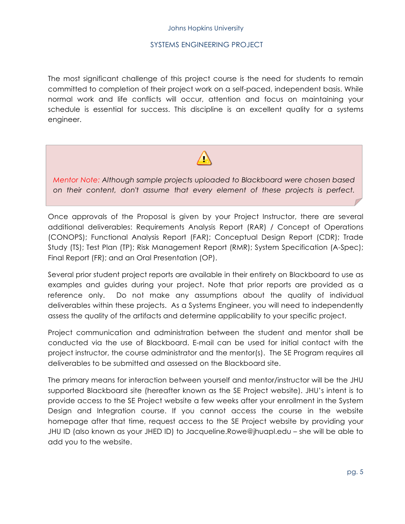The most significant challenge of this project course is the need for students to remain committed to completion of their project work on a self-paced, independent basis. While normal work and life conflicts will occur, attention and focus on maintaining your schedule is essential for success. This discipline is an excellent quality for a systems engineer.

#### *Mentor Note: Although sample projects uploaded to Blackboard were chosen based on their content, don't assume that every element of these projects is perfect.*

*Students should review multiple examples and determine on their own which* 

Once approvals of the Proposal is given by your Project Instructor, there are several additional deliverables: Requirements Analysis Report (RAR) / Concept of Operations (CONOPS); Functional Analysis Report (FAR); Conceptual Design Report (CDR); Trade Study (TS); Test Plan (TP); Risk Management Report (RMR); System Specification (A-Spec); Final Report (FR); and an Oral Presentation (OP).

Several prior student project reports are available in their entirety on Blackboard to use as examples and guides during your project. Note that prior reports are provided as a reference only. Do not make any assumptions about the quality of individual deliverables within these projects. As a Systems Engineer, you will need to independently assess the quality of the artifacts and determine applicability to your specific project.

Project communication and administration between the student and mentor shall be conducted via the use of Blackboard. E-mail can be used for initial contact with the project instructor, the course administrator and the mentor(s). The SE Program requires all deliverables to be submitted and assessed on the Blackboard site.

The primary means for interaction between yourself and mentor/instructor will be the JHU supported Blackboard site (hereafter known as the SE Project website). JHU's intent is to provide access to the SE Project website a few weeks after your enrollment in the System Design and Integration course. If you cannot access the course in the website homepage after that time, request access to the SE Project website by providing your JHU ID (also known as your JHED ID) to Jacqueline.Rowe@jhuapl.edu – she will be able to add you to the website.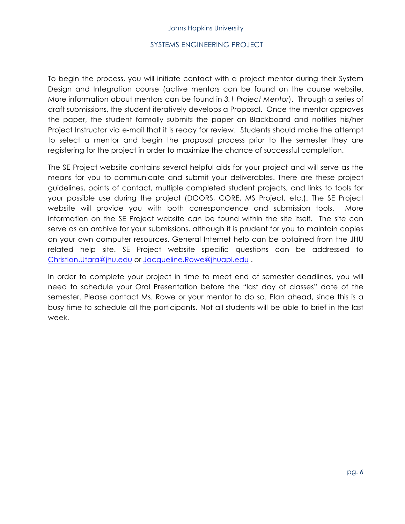To begin the process, you will initiate contact with a project mentor during their System Design and Integration course (active mentors can be found on the course website. More information about mentors can be found in *3.1 Project Mentor*). Through a series of draft submissions, the student iteratively develops a Proposal. Once the mentor approves the paper, the student formally submits the paper on Blackboard and notifies his/her Project Instructor via e-mail that it is ready for review. Students should make the attempt to select a mentor and begin the proposal process prior to the semester they are registering for the project in order to maximize the chance of successful completion.

The SE Project website contains several helpful aids for your project and will serve as the means for you to communicate and submit your deliverables. There are these project guidelines, points of contact, multiple completed student projects, and links to tools for your possible use during the project (DOORS, CORE, MS Project, etc.). The SE Project website will provide you with both correspondence and submission tools. More information on the SE Project website can be found within the site itself. The site can serve as an archive for your submissions, although it is prudent for you to maintain copies on your own computer resources. General Internet help can be obtained from the JHU related help site. SE Project website specific questions can be addressed to Christian.Utara@jhu.edu or Jacqueline.Rowe@jhuapl.edu .

In order to complete your project in time to meet end of semester deadlines, you will need to schedule your Oral Presentation before the "last day of classes" date of the semester. Please contact Ms. Rowe or your mentor to do so. Plan ahead, since this is a busy time to schedule all the participants. Not all students will be able to brief in the last week.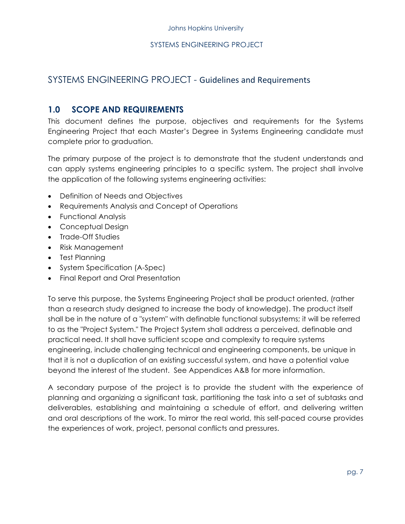#### SYSTEMS ENGINEERING PROJECT - Guidelines and Requirements

#### **1.0 SCOPE AND REQUIREMENTS**

This document defines the purpose, objectives and requirements for the Systems Engineering Project that each Master's Degree in Systems Engineering candidate must complete prior to graduation.

The primary purpose of the project is to demonstrate that the student understands and can apply systems engineering principles to a specific system. The project shall involve the application of the following systems engineering activities:

- Definition of Needs and Objectives
- Requirements Analysis and Concept of Operations
- Functional Analysis
- Conceptual Design
- Trade-Off Studies
- Risk Management
- Test Planning
- System Specification (A-Spec)
- Final Report and Oral Presentation

To serve this purpose, the Systems Engineering Project shall be product oriented, (rather than a research study designed to increase the body of knowledge). The product itself shall be in the nature of a "system" with definable functional subsystems; it will be referred to as the "Project System." The Project System shall address a perceived, definable and practical need. It shall have sufficient scope and complexity to require systems engineering, include challenging technical and engineering components, be unique in that it is not a duplication of an existing successful system, and have a potential value beyond the interest of the student. See Appendices A&B for more information.

A secondary purpose of the project is to provide the student with the experience of planning and organizing a significant task, partitioning the task into a set of subtasks and deliverables, establishing and maintaining a schedule of effort, and delivering written and oral descriptions of the work. To mirror the real world, this self-paced course provides the experiences of work, project, personal conflicts and pressures.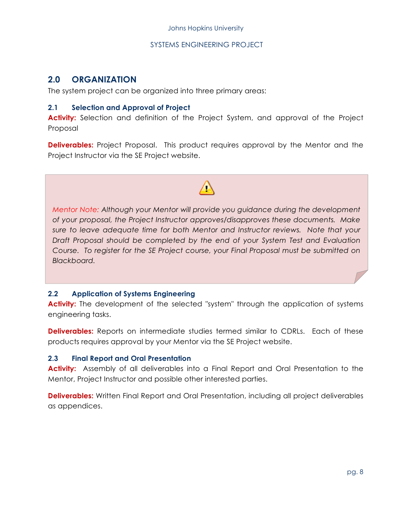#### **2.0 ORGANIZATION**

The system project can be organized into three primary areas:

#### **2.1 Selection and Approval of Project**

Activity: Selection and definition of the Project System, and approval of the Project Proposal

**Deliverables:** Project Proposal. This product requires approval by the Mentor and the Project Instructor via the SE Project website.

#### *Mentor Note: Although your Mentor will provide you guidance during the development of your proposal, the Project Instructor approves/disapproves these documents. Make sure to leave adequate time for both Mentor and Instructor reviews. Note that your Draft Proposal should be completed by the end of your System Test and Evaluation Course. To register for the SE Project course, your Final Proposal must be submitted on Blackboard.*

#### **2.2 Application of Systems Engineering**

Activity: The development of the selected "system" through the application of systems engineering tasks.

**Deliverables:** Reports on intermediate studies termed similar to CDRLs. Each of these products requires approval by your Mentor via the SE Project website.

#### **2.3 Final Report and Oral Presentation**

**Activity:** Assembly of all deliverables into a Final Report and Oral Presentation to the Mentor, Project Instructor and possible other interested parties.

**Deliverables:** Written Final Report and Oral Presentation, including all project deliverables as appendices.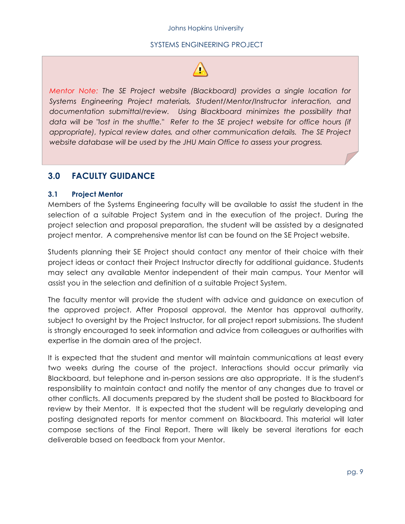*Mentor Note: The SE Project website (Blackboard) provides a single location for Systems Engineering Project materials, Student/Mentor/Instructor interaction, and documentation submittal/review. Using Blackboard minimizes the possibility that data will be "lost in the shuffle." Refer to the SE project website for office hours (if appropriate), typical review dates, and other communication details. The SE Project website database will be used by the JHU Main Office to assess your progress.*

#### **3.0 FACULTY GUIDANCE**

#### **3.1 Project Mentor**

Members of the Systems Engineering faculty will be available to assist the student in the selection of a suitable Project System and in the execution of the project. During the project selection and proposal preparation, the student will be assisted by a designated project mentor. A comprehensive mentor list can be found on the SE Project website.

Students planning their SE Project should contact any mentor of their choice with their project ideas or contact their Project Instructor directly for additional guidance. Students may select any available Mentor independent of their main campus. Your Mentor will assist you in the selection and definition of a suitable Project System.

The faculty mentor will provide the student with advice and guidance on execution of the approved project. After Proposal approval, the Mentor has approval authority, subject to oversight by the Project Instructor, for all project report submissions. The student is strongly encouraged to seek information and advice from colleagues or authorities with expertise in the domain area of the project.

It is expected that the student and mentor will maintain communications at least every two weeks during the course of the project. Interactions should occur primarily via Blackboard, but telephone and in-person sessions are also appropriate. It is the student's responsibility to maintain contact and notify the mentor of any changes due to travel or other conflicts. All documents prepared by the student shall be posted to Blackboard for review by their Mentor. It is expected that the student will be regularly developing and posting designated reports for mentor comment on Blackboard. This material will later compose sections of the Final Report. There will likely be several iterations for each deliverable based on feedback from your Mentor.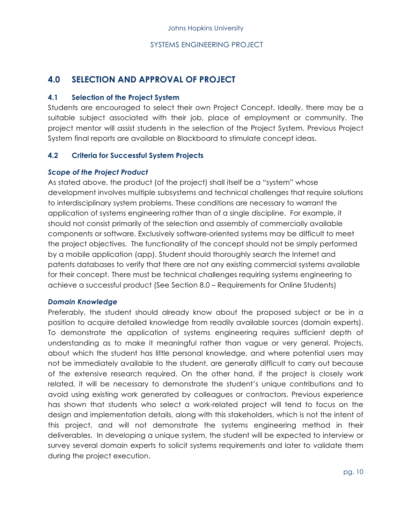#### **4.0 SELECTION AND APPROVAL OF PROJECT**

#### **4.1 Selection of the Project System**

Students are encouraged to select their own Project Concept. Ideally, there may be a suitable subject associated with their job, place of employment or community. The project mentor will assist students in the selection of the Project System. Previous Project System final reports are available on Blackboard to stimulate concept ideas.

#### **4.2 Criteria for Successful System Projects**

#### *Scope of the Project Product*

As stated above, the product (of the project) shall itself be a "system" whose development involves multiple subsystems and technical challenges that require solutions to interdisciplinary system problems. These conditions are necessary to warrant the application of systems engineering rather than of a single discipline. For example, it should not consist primarily of the selection and assembly of commercially available components or software. Exclusively software-oriented systems may be difficult to meet the project objectives. The functionality of the concept should not be simply performed by a mobile application (app). Student should thoroughly search the Internet and patents databases to verify that there are not any existing commercial systems available for their concept. There must be technical challenges requiring systems engineering to achieve a successful product (See Section 8.0 – Requirements for Online Students)

#### *Domain Knowledge*

Preferably, the student should already know about the proposed subject or be in a position to acquire detailed knowledge from readily available sources (domain experts). To demonstrate the application of systems engineering requires sufficient depth of understanding as to make it meaningful rather than vague or very general. Projects, about which the student has little personal knowledge, and where potential users may not be immediately available to the student, are generally difficult to carry out because of the extensive research required. On the other hand, if the project is closely work related, it will be necessary to demonstrate the student's unique contributions and to avoid using existing work generated by colleagues or contractors. Previous experience has shown that students who select a work-related project will tend to focus on the design and implementation details, along with this stakeholders, which is not the intent of this project, and will not demonstrate the systems engineering method in their deliverables. In developing a unique system, the student will be expected to interview or survey several domain experts to solicit systems requirements and later to validate them during the project execution.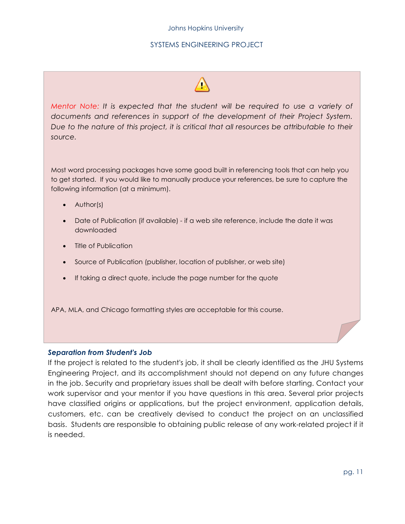#### Johns Hopkins University

#### SYSTEMS ENGINEERING PROJECT



*Mentor Note: It is expected that the student will be required to use a variety of documents and references in support of the development of their Project System. Due to the nature of this project, it is critical that all resources be attributable to their source.*

Most word processing packages have some good built in referencing tools that can help you to get started. If you would like to manually produce your references, be sure to capture the following information (at a minimum).

- Author(s)
- Date of Publication (if available) if a web site reference, include the date it was downloaded
- Title of Publication
- Source of Publication (publisher, location of publisher, or web site)
- If taking a direct quote, include the page number for the quote

APA, MLA, and Chicago formatting styles are acceptable for this course.

#### *Separation from Student's Job*

If the project is related to the student's job, it shall be clearly identified as the JHU Systems Engineering Project, and its accomplishment should not depend on any future changes in the job. Security and proprietary issues shall be dealt with before starting. Contact your work supervisor and your mentor if you have questions in this area. Several prior projects have classified origins or applications, but the project environment, application details, customers, etc. can be creatively devised to conduct the project on an unclassified basis. Students are responsible to obtaining public release of any work-related project if it is needed.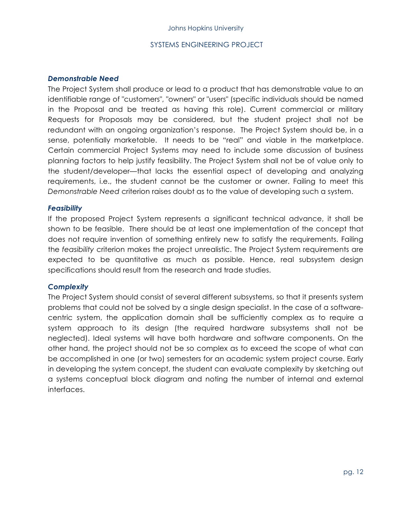#### *Demonstrable Need*

The Project System shall produce or lead to a product that has demonstrable value to an identifiable range of "customers", "owners" or "users" (specific individuals should be named in the Proposal and be treated as having this role). Current commercial or military Requests for Proposals may be considered, but the student project shall not be redundant with an ongoing organization's response. The Project System should be, in a sense, potentially marketable. It needs to be "real" and viable in the marketplace. Certain commercial Project Systems may need to include some discussion of business planning factors to help justify feasibility. The Project System shall not be of value only to the student/developer—that lacks the essential aspect of developing and analyzing requirements, i.e., the student cannot be the customer or owner. Failing to meet this *Demonstrable Need* criterion raises doubt as to the value of developing such a system.

#### *Feasibility*

If the proposed Project System represents a significant technical advance, it shall be shown to be feasible. There should be at least one implementation of the concept that does not require invention of something entirely new to satisfy the requirements. Failing the *feasibility* criterion makes the project unrealistic. The Project System requirements are expected to be quantitative as much as possible. Hence, real subsystem design specifications should result from the research and trade studies.

#### *Complexity*

The Project System should consist of several different subsystems, so that it presents system problems that could not be solved by a single design specialist. In the case of a softwarecentric system, the application domain shall be sufficiently complex as to require a system approach to its design (the required hardware subsystems shall not be neglected). Ideal systems will have both hardware and software components. On the other hand, the project should not be so complex as to exceed the scope of what can be accomplished in one (or two) semesters for an academic system project course. Early in developing the system concept, the student can evaluate complexity by sketching out a systems conceptual block diagram and noting the number of internal and external interfaces.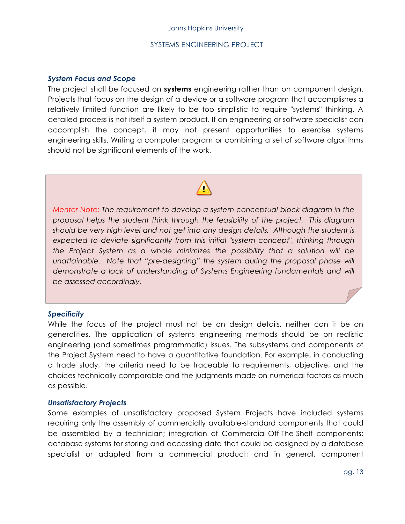#### *System Focus and Scope*

The project shall be focused on **systems** engineering rather than on component design. Projects that focus on the design of a device or a software program that accomplishes a relatively limited function are likely to be too simplistic to require "systems" thinking. A detailed process is not itself a system product. If an engineering or software specialist can accomplish the concept, it may not present opportunities to exercise systems engineering skills. Writing a computer program or combining a set of software algorithms should not be significant elements of the work.



*Mentor Note: The requirement to develop a system conceptual block diagram in the proposal helps the student think through the feasibility of the project. This diagram should be very high level and not get into any design details. Although the student is expected to deviate significantly from this initial "system concept", thinking through the Project System as a whole minimizes the possibility that a solution will be*  unattainable. Note that "pre-designing" the system during the proposal phase will *demonstrate a lack of understanding of Systems Engineering fundamentals and will be assessed accordingly.*

#### *Specificity*

While the focus of the project must not be on design details, neither can it be on generalities. The application of systems engineering methods should be on realistic engineering (and sometimes programmatic) issues. The subsystems and components of the Project System need to have a quantitative foundation. For example, in conducting a trade study, the criteria need to be traceable to requirements, objective, and the choices technically comparable and the judgments made on numerical factors as much as possible.

#### *Unsatisfactory Projects*

Some examples of unsatisfactory proposed System Projects have included systems requiring only the assembly of commercially available-standard components that could be assembled by a technician; integration of Commercial-Off-The-Shelf components; database systems for storing and accessing data that could be designed by a database specialist or adapted from a commercial product; and in general, component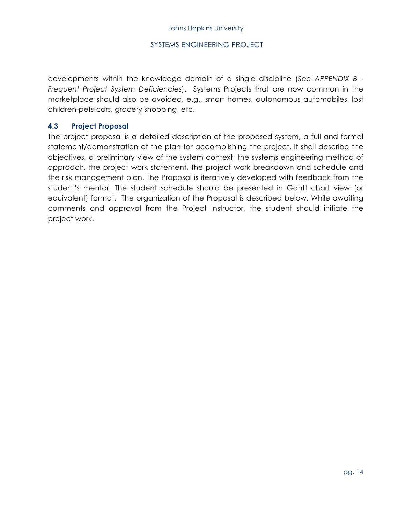developments within the knowledge domain of a single discipline (See *APPENDIX B - Frequent Project System Deficiencies*). Systems Projects that are now common in the marketplace should also be avoided, e.g., smart homes, autonomous automobiles, lost children-pets-cars, grocery shopping, etc.

#### **4.3 Project Proposal**

The project proposal is a detailed description of the proposed system, a full and formal statement/demonstration of the plan for accomplishing the project. It shall describe the objectives, a preliminary view of the system context, the systems engineering method of approach, the project work statement, the project work breakdown and schedule and the risk management plan. The Proposal is iteratively developed with feedback from the student's mentor. The student schedule should be presented in Gantt chart view (or equivalent) format. The organization of the Proposal is described below. While awaiting comments and approval from the Project Instructor, the student should initiate the project work.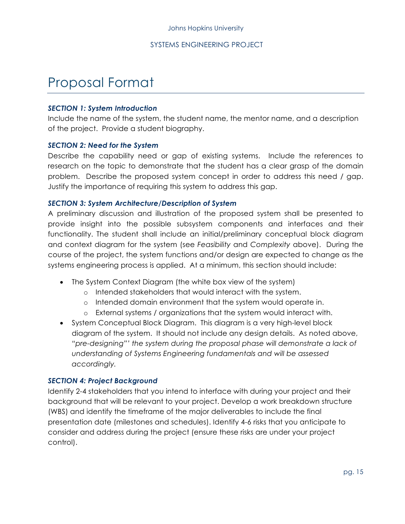# Proposal Format

#### *SECTION 1: System Introduction*

Include the name of the system, the student name, the mentor name, and a description of the project. Provide a student biography.

#### *SECTION 2: Need for the System*

Describe the capability need or gap of existing systems. Include the references to research on the topic to demonstrate that the student has a clear grasp of the domain problem. Describe the proposed system concept in order to address this need / gap. Justify the importance of requiring this system to address this gap.

#### *SECTION 3: System Architecture/Description of System*

A preliminary discussion and illustration of the proposed system shall be presented to provide insight into the possible subsystem components and interfaces and their functionality. The student shall include an initial/preliminary conceptual block diagram and context diagram for the system (see *Feasibility* and *Complexity* above). During the course of the project, the system functions and/or design are expected to change as the systems engineering process is applied. At a minimum, this section should include:

- The System Context Diagram (the white box view of the system)
	- o Intended stakeholders that would interact with the system.
	- o Intended domain environment that the system would operate in.
	- o External systems / organizations that the system would interact with.
- System Conceptual Block Diagram. This diagram is a very high-level block diagram of the system. It should not include any design details. As noted above, *"pre-designing"' the system during the proposal phase will demonstrate a lack of understanding of Systems Engineering fundamentals and will be assessed accordingly.*

#### *SECTION 4: Project Background*

Identify 2-4 stakeholders that you intend to interface with during your project and their background that will be relevant to your project. Develop a work breakdown structure (WBS) and identify the timeframe of the major deliverables to include the final presentation date (milestones and schedules). Identify 4-6 risks that you anticipate to consider and address during the project (ensure these risks are under your project control).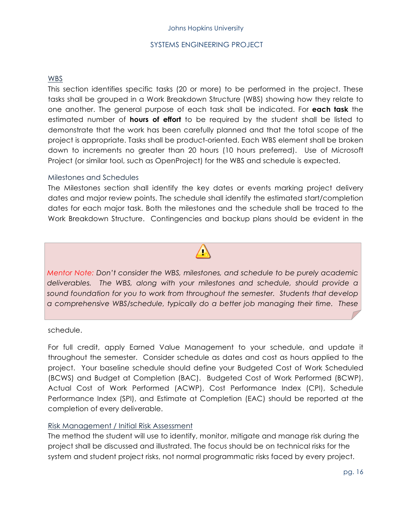#### WBS

This section identifies specific tasks (20 or more) to be performed in the project. These tasks shall be grouped in a Work Breakdown Structure (WBS) showing how they relate to one another. The general purpose of each task shall be indicated. For **each task** the estimated number of **hours of effort** to be required by the student shall be listed to demonstrate that the work has been carefully planned and that the total scope of the project is appropriate. Tasks shall be product-oriented. Each WBS element shall be broken down to increments no greater than 20 hours (10 hours preferred). Use of Microsoft Project (or similar tool, such as OpenProject) for the WBS and schedule is expected.

#### Milestones and Schedules

The Milestones section shall identify the key dates or events marking project delivery dates and major review points. The schedule shall identify the estimated start/completion dates for each major task. Both the milestones and the schedule shall be traced to the Work Breakdown Structure. Contingencies and backup plans should be evident in the

*Mentor Note: Don't consider the WBS, milestones, and schedule to be purely academic deliverables. The WBS, along with your milestones and schedule, should provide a sound foundation for you to work from throughout the semester. Students that develop a comprehensive WBS/schedule, typically do a better job managing their time. These* 

*students actually refer back to their plan throughout the semester to keep them on* 

#### schedule.

For full credit, apply Earned Value Management to your schedule, and update it throughout the semester. Consider schedule as dates and cost as hours applied to the project. Your baseline schedule should define your Budgeted Cost of Work Scheduled (BCWS) and Budget at Completion (BAC). Budgeted Cost of Work Performed (BCWP), Actual Cost of Work Performed (ACWP), Cost Performance Index (CPI), Schedule Performance Index (SPI), and Estimate at Completion (EAC) should be reported at the completion of every deliverable.

#### Risk Management / Initial Risk Assessment

The method the student will use to identify, monitor, mitigate and manage risk during the project shall be discussed and illustrated. The focus should be on technical risks for the system and student project risks, not normal programmatic risks faced by every project.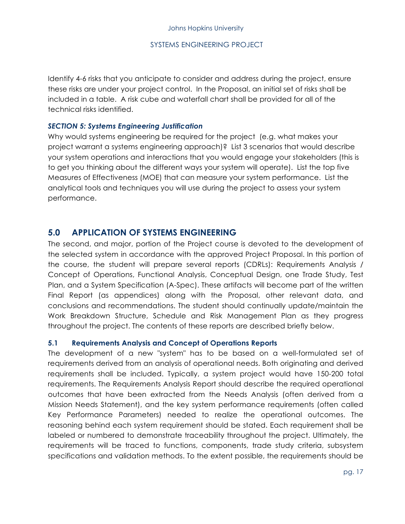Identify 4-6 risks that you anticipate to consider and address during the project, ensure these risks are under your project control. In the Proposal, an initial set of risks shall be included in a table. A risk cube and waterfall chart shall be provided for all of the technical risks identified.

#### *SECTION 5: Systems Engineering Justification*

Why would systems engineering be required for the project (e.g. what makes your project warrant a systems engineering approach)? List 3 scenarios that would describe your system operations and interactions that you would engage your stakeholders (this is to get you thinking about the different ways your system will operate). List the top five Measures of Effectiveness (MOE) that can measure your system performance. List the analytical tools and techniques you will use during the project to assess your system performance.

#### **5.0 APPLICATION OF SYSTEMS ENGINEERING**

The second, and major, portion of the Project course is devoted to the development of the selected system in accordance with the approved Project Proposal. In this portion of the course, the student will prepare several reports (CDRLs): Requirements Analysis / Concept of Operations, Functional Analysis, Conceptual Design, one Trade Study, Test Plan, and a System Specification (A-Spec). These artifacts will become part of the written Final Report (as appendices) along with the Proposal, other relevant data, and conclusions and recommendations. The student should continually update/maintain the Work Breakdown Structure, Schedule and Risk Management Plan as they progress throughout the project. The contents of these reports are described briefly below.

#### **5.1 Requirements Analysis and Concept of Operations Reports**

The development of a new "system" has to be based on a well-formulated set of requirements derived from an analysis of operational needs. Both originating and derived requirements shall be included. Typically, a system project would have 150-200 total requirements. The Requirements Analysis Report should describe the required operational outcomes that have been extracted from the Needs Analysis (often derived from a Mission Needs Statement), and the key system performance requirements (often called Key Performance Parameters) needed to realize the operational outcomes. The reasoning behind each system requirement should be stated. Each requirement shall be labeled or numbered to demonstrate traceability throughout the project. Ultimately, the requirements will be traced to functions, components, trade study criteria, subsystem specifications and validation methods. To the extent possible, the requirements should be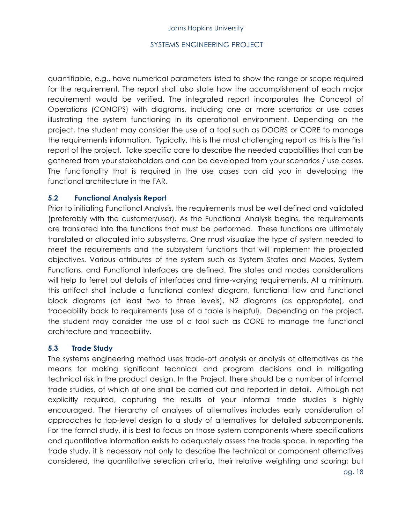quantifiable, e.g., have numerical parameters listed to show the range or scope required for the requirement. The report shall also state how the accomplishment of each major requirement would be verified. The integrated report incorporates the Concept of Operations (CONOPS) with diagrams, including one or more scenarios or use cases illustrating the system functioning in its operational environment. Depending on the project, the student may consider the use of a tool such as DOORS or CORE to manage the requirements information. Typically, this is the most challenging report as this is the first report of the project. Take specific care to describe the needed capabilities that can be gathered from your stakeholders and can be developed from your scenarios / use cases. The functionality that is required in the use cases can aid you in developing the functional architecture in the FAR.

#### **5.2 Functional Analysis Report**

Prior to initiating Functional Analysis, the requirements must be well defined and validated (preferably with the customer/user). As the Functional Analysis begins, the requirements are translated into the functions that must be performed. These functions are ultimately translated or allocated into subsystems. One must visualize the type of system needed to meet the requirements and the subsystem functions that will implement the projected objectives. Various attributes of the system such as System States and Modes, System Functions, and Functional Interfaces are defined. The states and modes considerations will help to ferret out details of interfaces and time-varying requirements. At a minimum, this artifact shall include a functional context diagram, functional flow and functional block diagrams (at least two to three levels), N2 diagrams (as appropriate), and traceability back to requirements (use of a table is helpful). Depending on the project, the student may consider the use of a tool such as CORE to manage the functional architecture and traceability.

#### **5.3 Trade Study**

The systems engineering method uses trade-off analysis or analysis of alternatives as the means for making significant technical and program decisions and in mitigating technical risk in the product design. In the Project, there should be a number of informal trade studies, of which at one shall be carried out and reported in detail. Although not explicitly required, capturing the results of your informal trade studies is highly encouraged. The hierarchy of analyses of alternatives includes early consideration of approaches to top-level design to a study of alternatives for detailed subcomponents. For the formal study, it is best to focus on those system components where specifications and quantitative information exists to adequately assess the trade space. In reporting the trade study, it is necessary not only to describe the technical or component alternatives considered, the quantitative selection criteria, their relative weighting and scoring; but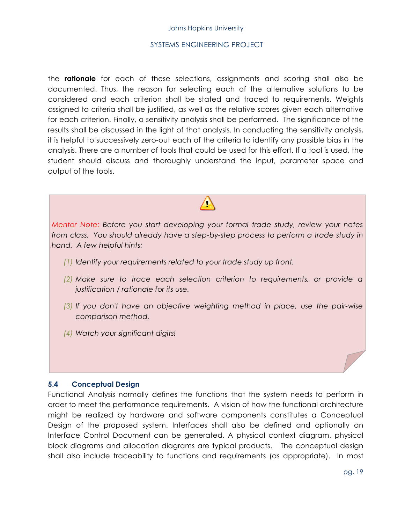#### Johns Hopkins University

#### SYSTEMS ENGINEERING PROJECT

the **rationale** for each of these selections, assignments and scoring shall also be documented. Thus, the reason for selecting each of the alternative solutions to be considered and each criterion shall be stated and traced to requirements. Weights assigned to criteria shall be justified, as well as the relative scores given each alternative for each criterion. Finally, a sensitivity analysis shall be performed. The significance of the results shall be discussed in the light of that analysis. In conducting the sensitivity analysis, it is helpful to successively zero-out each of the criteria to identify any possible bias in the analysis. There are a number of tools that could be used for this effort. If a tool is used, the student should discuss and thoroughly understand the input, parameter space and output of the tools.

*Mentor Note: Before you start developing your formal trade study, review your notes from class. You should already have a step-by-step process to perform a trade study in hand. A few helpful hints:*

- *(1) Identify your requirements related to your trade study up front.*
- *(2) Make sure to trace each selection criterion to requirements, or provide a justification / rationale for its use.*
- *(3) If you don't have an objective weighting method in place, use the pair-wise comparison method.*
- *(4) Watch your significant digits!*

#### **5.4 Conceptual Design**

Functional Analysis normally defines the functions that the system needs to perform in order to meet the performance requirements. A vision of how the functional architecture might be realized by hardware and software components constitutes a Conceptual Design of the proposed system. Interfaces shall also be defined and optionally an Interface Control Document can be generated. A physical context diagram, physical block diagrams and allocation diagrams are typical products. The conceptual design shall also include traceability to functions and requirements (as appropriate). In most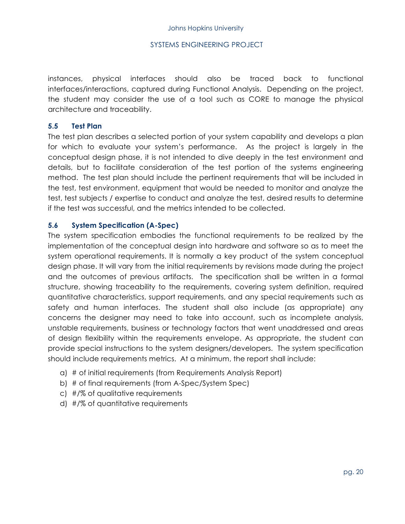instances, physical interfaces should also be traced back to functional interfaces/interactions, captured during Functional Analysis. Depending on the project, the student may consider the use of a tool such as CORE to manage the physical architecture and traceability.

#### **5.5 Test Plan**

The test plan describes a selected portion of your system capability and develops a plan for which to evaluate your system's performance. As the project is largely in the conceptual design phase, it is not intended to dive deeply in the test environment and details, but to facilitate consideration of the test portion of the systems engineering method. The test plan should include the pertinent requirements that will be included in the test, test environment, equipment that would be needed to monitor and analyze the test, test subjects / expertise to conduct and analyze the test, desired results to determine if the test was successful, and the metrics intended to be collected.

#### **5.6 System Specification (A-Spec)**

The system specification embodies the functional requirements to be realized by the implementation of the conceptual design into hardware and software so as to meet the system operational requirements. It is normally a key product of the system conceptual design phase. It will vary from the initial requirements by revisions made during the project and the outcomes of previous artifacts. The specification shall be written in a formal structure, showing traceability to the requirements, covering system definition, required quantitative characteristics, support requirements, and any special requirements such as safety and human interfaces. The student shall also include (as appropriate) any concerns the designer may need to take into account, such as incomplete analysis, unstable requirements, business or technology factors that went unaddressed and areas of design flexibility within the requirements envelope. As appropriate, the student can provide special instructions to the system designers/developers. The system specification should include requirements metrics. At a minimum, the report shall include:

- a) # of initial requirements (from Requirements Analysis Report)
- b) # of final requirements (from A-Spec/System Spec)
- c) #/% of qualitative requirements
- d) #/% of quantitative requirements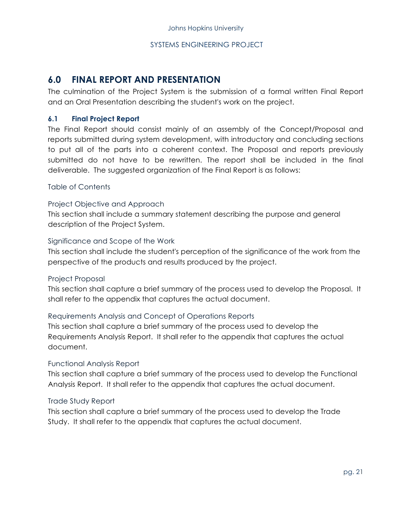#### **6.0 FINAL REPORT AND PRESENTATION**

The culmination of the Project System is the submission of a formal written Final Report and an Oral Presentation describing the student's work on the project.

#### **6.1 Final Project Report**

The Final Report should consist mainly of an assembly of the Concept/Proposal and reports submitted during system development, with introductory and concluding sections to put all of the parts into a coherent context. The Proposal and reports previously submitted do not have to be rewritten. The report shall be included in the final deliverable. The suggested organization of the Final Report is as follows:

#### Table of Contents

#### Project Objective and Approach

This section shall include a summary statement describing the purpose and general description of the Project System.

#### Significance and Scope of the Work

This section shall include the student's perception of the significance of the work from the perspective of the products and results produced by the project.

#### Project Proposal

This section shall capture a brief summary of the process used to develop the Proposal. It shall refer to the appendix that captures the actual document.

#### Requirements Analysis and Concept of Operations Reports

This section shall capture a brief summary of the process used to develop the Requirements Analysis Report. It shall refer to the appendix that captures the actual document.

#### Functional Analysis Report

This section shall capture a brief summary of the process used to develop the Functional Analysis Report. It shall refer to the appendix that captures the actual document.

#### Trade Study Report

This section shall capture a brief summary of the process used to develop the Trade Study. It shall refer to the appendix that captures the actual document.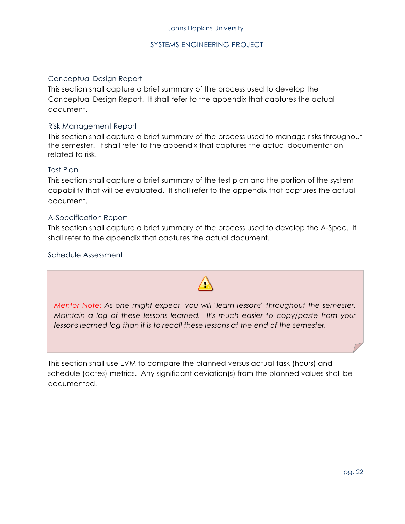#### Conceptual Design Report

This section shall capture a brief summary of the process used to develop the Conceptual Design Report. It shall refer to the appendix that captures the actual document.

#### Risk Management Report

This section shall capture a brief summary of the process used to manage risks throughout the semester. It shall refer to the appendix that captures the actual documentation related to risk.

#### Test Plan

This section shall capture a brief summary of the test plan and the portion of the system capability that will be evaluated. It shall refer to the appendix that captures the actual document.

#### A-Specification Report

This section shall capture a brief summary of the process used to develop the A-Spec. It shall refer to the appendix that captures the actual document.

Schedule Assessment

*Mentor Note: As one might expect, you will "learn lessons" throughout the semester. Maintain a log of these lessons learned. It's much easier to copy/paste from your lessons learned log than it is to recall these lessons at the end of the semester.*

This section shall use EVM to compare the planned versus actual task (hours) and schedule (dates) metrics. Any significant deviation(s) from the planned values shall be documented.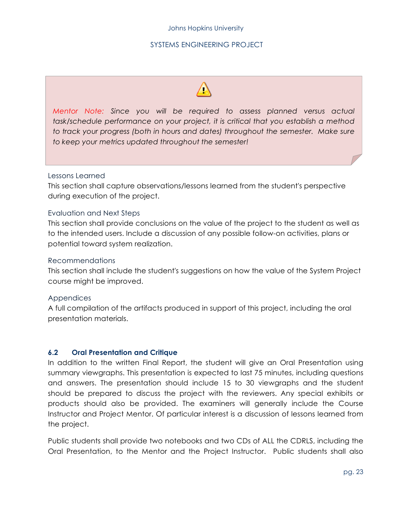

*Mentor Note: Since you will be required to assess planned versus actual task/schedule performance on your project, it is critical that you establish a method*  to track your progress (both in hours and dates) throughout the semester. Make sure *to keep your metrics updated throughout the semester!*

#### Lessons Learned

This section shall capture observations/lessons learned from the student's perspective during execution of the project.

#### Evaluation and Next Steps

This section shall provide conclusions on the value of the project to the student as well as to the intended users. Include a discussion of any possible follow-on activities, plans or potential toward system realization.

#### Recommendations

This section shall include the student's suggestions on how the value of the System Project course might be improved.

#### Appendices

A full compilation of the artifacts produced in support of this project, including the oral presentation materials.

#### **6.2 Oral Presentation and Critique**

In addition to the written Final Report, the student will give an Oral Presentation using summary viewgraphs. This presentation is expected to last 75 minutes, including questions and answers. The presentation should include 15 to 30 viewgraphs and the student should be prepared to discuss the project with the reviewers. Any special exhibits or products should also be provided. The examiners will generally include the Course Instructor and Project Mentor. Of particular interest is a discussion of lessons learned from the project.

Public students shall provide two notebooks and two CDs of ALL the CDRLS, including the Oral Presentation, to the Mentor and the Project Instructor. Public students shall also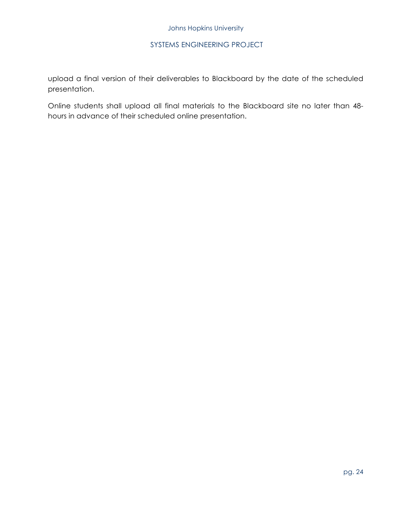upload a final version of their deliverables to Blackboard by the date of the scheduled presentation.

Online students shall upload all final materials to the Blackboard site no later than 48 hours in advance of their scheduled online presentation.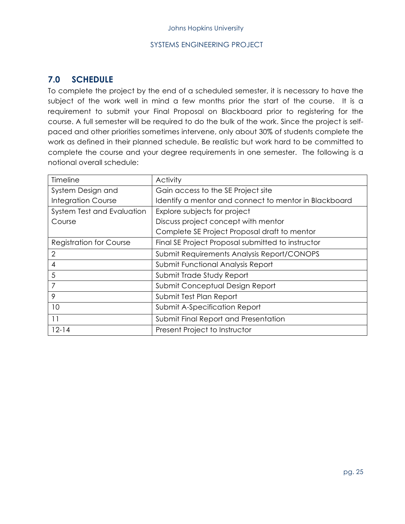### **7.0 SCHEDULE**

To complete the project by the end of a scheduled semester, it is necessary to have the subject of the work well in mind a few months prior the start of the course. It is a requirement to submit your Final Proposal on Blackboard prior to registering for the course. A full semester will be required to do the bulk of the work. Since the project is selfpaced and other priorities sometimes intervene, only about 30% of students complete the work as defined in their planned schedule. Be realistic but work hard to be committed to complete the course and your degree requirements in one semester. The following is a notional overall schedule:

| Timeline                       | <b>Activity</b>                                       |  |
|--------------------------------|-------------------------------------------------------|--|
| System Design and              | Gain access to the SE Project site                    |  |
| <b>Integration Course</b>      | Identify a mentor and connect to mentor in Blackboard |  |
| System Test and Evaluation     | Explore subjects for project                          |  |
| Course                         | Discuss project concept with mentor                   |  |
|                                | Complete SE Project Proposal draft to mentor          |  |
| <b>Registration for Course</b> | Final SE Project Proposal submitted to instructor     |  |
| $\overline{2}$                 | Submit Requirements Analysis Report/CONOPS            |  |
| 4                              | Submit Functional Analysis Report                     |  |
| 5                              | Submit Trade Study Report                             |  |
| 7                              | Submit Conceptual Design Report                       |  |
| 9                              | Submit Test Plan Report                               |  |
| 10                             | Submit A-Specification Report                         |  |
| 11                             | Submit Final Report and Presentation                  |  |
| $12 - 14$                      | Present Project to Instructor                         |  |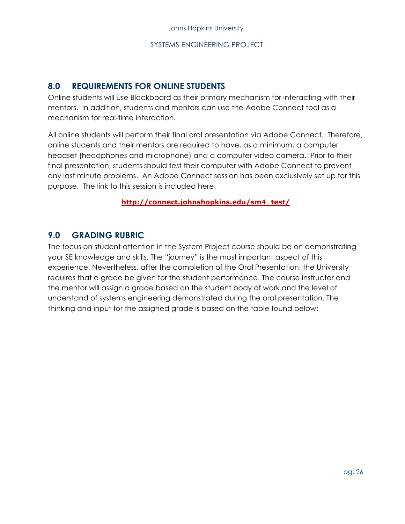#### **8.0 REQUIREMENTS FOR ONLINE STUDENTS**

Online students will use Blackboard as their primary mechanism for interacting with their mentors. In addition, students and mentors can use the Adobe Connect tool as a mechanism for real-time interaction.

All online students will perform their final oral presentation via Adobe Connect. Therefore, online students and their mentors are required to have, as a minimum, a computer headset (headphones and microphone) and a computer video camera. Prior to their final presentation, students should test their computer with Adobe Connect to prevent any last minute problems. An Adobe Connect session has been exclusively set up for this purpose. The link to this session is included here:

#### **http://connect.johnshopkins.edu/sm4\_test/**

#### **9.0 GRADING RUBRIC**

The focus on student attention in the System Project course should be on demonstrating your SE knowledge and skills. The "journey" is the most important aspect of this experience. Nevertheless, after the completion of the Oral Presentation, the University requires that a grade be given for the student performance. The course instructor and the mentor will assign a grade based on the student body of work and the level of understand of systems engineering demonstrated during the oral presentation. The thinking and input for the assigned grade is based on the table found below: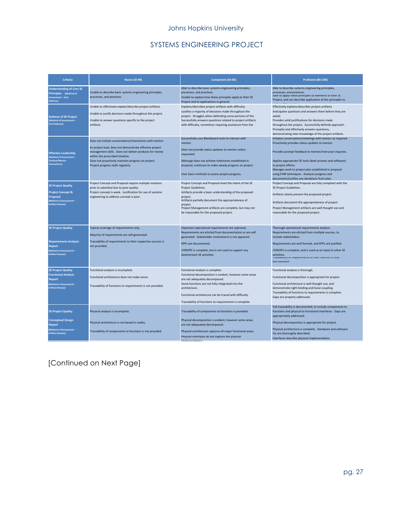#### Johns Hopkins University

#### SYSTEMS ENGINEERING PROJECT

| <b>Criteria</b>                                                                                                             | <b>Novice (0-49)</b>                                                                                                                                                                                                                                                                                           | Competent (50-85)                                                                                                                                                                                                                                                                                                            | <b>Proficient (86-100)</b>                                                                                                                                                                                                                                                                                                                                                                                         |
|-----------------------------------------------------------------------------------------------------------------------------|----------------------------------------------------------------------------------------------------------------------------------------------------------------------------------------------------------------------------------------------------------------------------------------------------------------|------------------------------------------------------------------------------------------------------------------------------------------------------------------------------------------------------------------------------------------------------------------------------------------------------------------------------|--------------------------------------------------------------------------------------------------------------------------------------------------------------------------------------------------------------------------------------------------------------------------------------------------------------------------------------------------------------------------------------------------------------------|
| <b>Understanding of Core SE</b><br>Principles (Method of<br>Assessment - Oral<br>Defense)                                   | Unable to describe basic systems engineering principles,<br>processes, and practices.                                                                                                                                                                                                                          | Able to describe basic systems engineering principles,<br>processes, and practices.<br>Unable to explain how these principles apply to their SE<br>Project and to applications in general.                                                                                                                                   | Able to describe systems engineering principles,<br>processes, and practices.<br>Able to apply these principles to elements of their SE<br>Project, and can describe application of the principles to                                                                                                                                                                                                              |
| <b>Defense of SE Project</b><br>(Method of Assessment-<br>Oral Defense)                                                     | Unable to effectively explain/describe project artifacts.<br>Unable to justify decisions made throughout the project.<br>Unable to answer questions specific to the project<br>artifacts.                                                                                                                      | Explains/describes project artifacts with difficulty.<br>Justifies a majority of decisions made throughout the<br>project. Struggles when defending some portions of the<br>Successfully answers questions related to project artifacts<br>with difficulty, sometimes requiring assistance from the                          | Effectively explains/describes project artifacts.<br>Anticipates questions and answers them before they are<br>asked.<br>Provides solid justifications for decisions made<br>throughout the project. Successfully defends approach.<br>Promptly and effectively answers questions,<br>demonstrating clear knowledge of the project artifacts.                                                                      |
| <b>Effective Leadership</b><br>(Method of Assessment -<br><b>Student/Mentor</b><br>Interactions)                            | Does not initiate conversations/interactions with mentor.<br>As project lead, does not demonstrate effective project<br>management skills. Does not deliver products for review<br>within the prescribed timeline.<br>Does not proactively maintain progress on project.<br>Project progress stalls regularly. | Successfully uses Blackboard tools to interact with<br>mentor.<br>Does not provide status updates to mentor unless<br>requested.<br>Although does not achieve milestones established in<br>proposal, continues to make steady progress on project<br>Uses basic methods to assess project progress.                          | Initiates conversations/meetings with mentor as required.<br>Proactively provides status updates to mentor.<br>Provides prompt feedback to mentor/instructor inquiries.<br>Applies appropriate SE tools (both process and software)<br>to project efforts.<br>Manages work to project plan established in proposal<br>using EVM techniques. Analyzes progress and<br>documents/justifies any deviations from plan. |
| <b>SE Project Quality</b><br><b>Project Concept &amp;</b><br>Proposal<br>Method of Assessment -<br><b>Artifact Review)</b>  | Project Concept and Proposal require multiple revisions<br>prior to submittal due to poor quality.<br>Project concept is weak. Justification for use of systems<br>engineering to address concept is poor.                                                                                                     | Project Concept and Proposal meet the intent of the SE<br>Project Guidelines.<br>Artifacts provide a basic understanding of the proposed<br>project.<br>Artifacts partially document the appropriateness of<br>project.<br>Project Management artifacts are complete, but may not<br>be reasonable for the proposed project. | Project Concept and Proposal are fully compliant with the<br>SE Project Guidelines.<br>Artifacts clearly present the proposed project.<br>Artifacts document the appropriateness of project.<br>Project Management artifacts are well thought out and<br>reasonable for the proposed project.                                                                                                                      |
| <b>SE Project Quality</b><br><b>Requirements Analysis</b><br>Report<br>(Method of Assessment –<br>Artifact Review)          | Topical coverage of requirements only.<br>Majority of requirements are self-generated.<br>Traceability of requirements to their respective sources is<br>not provided.                                                                                                                                         | Important operational requirements are captured.<br>Requirements are elicited from documentation or are self-<br>generated. Stakeholder involvement is not apparent.<br>KPPs are documented.<br>CONOPS is complete, but is not used to support any<br>downstream SE activities.                                              | Thorough operational requirements analysis.<br>Requirements are elicited from multiple sources, to<br>include stakeholders.<br>Requirements are well formed, and KPPs are justified.<br>CONOPS is complete, and is used as an input to other SE<br>activities.<br>raceability of requirements to their sources is fully<br>documented                                                                              |
| <b>SE Project Quality</b><br><b>Functional Analysis</b><br>Report<br>Method of Assessment-<br><b>Artifact Review)</b>       | Functional analysis is incomplete.<br>Functional architecture does not make sense.<br>Traceability of functions to requirements is not provided.                                                                                                                                                               | Functional analysis is complete.<br>Functional decomposition is evident, however some areas<br>are not adequately decomposed.<br>Some functions are not fully integrated into the<br>architecture.<br>Functional architecture can be traced with difficulty.<br>Traceability of functions to requirements is complete.       | Functional analysis is thorough.<br>Functional decomposition is appropriate for project.<br>Functional architecture is well thought out, and<br>demonstrates tight binding and loose coupling.<br>Traceability of functions to requirements is complete.<br>Gaps are properly addressed.                                                                                                                           |
| <b>SE Project Quality</b><br><b>Conceptual Design</b><br><b>Report</b><br>Method of Assessment -<br><b>Artifact Review)</b> | Physical analysis is incomplete.<br>Physical architecture is not based in reality.<br>Traceability of components to functions is not provided.                                                                                                                                                                 | Traceability of components to functions is provided.<br>Physical decomposition is evident, however some areas<br>are not adequately decomposed.<br>Physical architecture captures all major functional areas.<br>Physical interfaces do not capture the physical                                                             | Full traceability is documented, to include components to<br>functions and physical to functional interfaces. Gaps are<br>appropriately addressed.<br>Physical decomposition is appropriate for project.<br>Physical architecture is complete. Hardware and software<br>CIs are thoroughly described.<br>Interfaces describe physical implementation.                                                              |

[Continued on Next Page]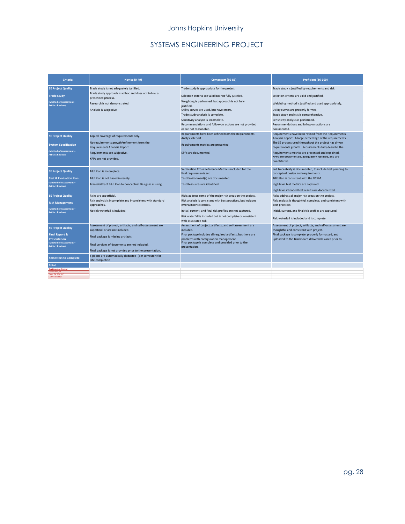#### Johns Hopkins University

#### SYSTEMS ENGINEERING PROJECT

| <b>Criteria</b>                                                                                                                            | <b>Novice (0-49)</b>                                                                                                                                                                                                                              | Competent (50-85)                                                                                                                                                                                                                                                                                              | Proficient (86-100)                                                                                                                                                                                                                                                                                                                                         |
|--------------------------------------------------------------------------------------------------------------------------------------------|---------------------------------------------------------------------------------------------------------------------------------------------------------------------------------------------------------------------------------------------------|----------------------------------------------------------------------------------------------------------------------------------------------------------------------------------------------------------------------------------------------------------------------------------------------------------------|-------------------------------------------------------------------------------------------------------------------------------------------------------------------------------------------------------------------------------------------------------------------------------------------------------------------------------------------------------------|
| <b>SE Project Quality</b><br><b>Trade Study</b><br>(Method of Assessment -<br><b>Artifact Review)</b>                                      | Trade study is not adequately justified.<br>Trade study approach is ad hoc and does not follow a<br>prescribed process.<br>Research is not demonstrated.<br>Analysis is subjective.                                                               | Trade study is appropriate for the project.<br>Selection criteria are valid but not fully justified.<br>Weighting is performed, but approach is not fully<br>justified.<br>Utility curves are used, but have errors.                                                                                           | Trade study is justified by requirements and risk.<br>Selection criteria are valid and justified.<br>Weighting method is justified and used appropriately.<br>Utility curves are properly formed.                                                                                                                                                           |
|                                                                                                                                            |                                                                                                                                                                                                                                                   | Trade study analysis is complete.<br>Sensitivity analysis is incomplete.<br>Recommendations and follow-on actions are not provided<br>or are not reasonable.                                                                                                                                                   | Trade study analysis is comprehensive.<br>Sensitivity analysis is performed.<br>Recommendations and follow-on actions are<br>documented.                                                                                                                                                                                                                    |
| <b>SE Project Quality</b><br><b>System Specification</b><br>Method of Assessment -<br><b>Artifact Review)</b>                              | Topical coverage of requirements only.<br>No requirements growth/refinement from the<br>Requirements Analysis Report.<br>Requirements are subjective.<br>KPPs are not provided.                                                                   | Requirements have been refined from the Requirements<br>Analysis Report.<br>Requirements metrics are presented.<br>KPPs are documented.                                                                                                                                                                        | Requirements have been refined from the Requirements<br>Analysis Report. A large percentage of the requirements<br>The SE process used throughout the project has driven<br>requirements growth. Requirements fully describe the<br>Requirements metrics are presented and explained.<br>KPPS are documented, adequately justified, and are<br>quantitative |
| <b>SE Project Quality</b><br><b>Test &amp; Evaluation Plan</b><br>Method of Assessment -<br><b>Artifact Review)</b>                        | T&E Plan is incomplete.<br>T&E Plan is not based in reality.<br>Traceability of T&E Plan to Conceptual Design is missing.                                                                                                                         | Verification Cross Reference Matrix is included for the<br>final requirements set.<br>Test Environment(s) are documented.<br>Test Resources are identified.                                                                                                                                                    | Full traceability is documented, to include test planning to<br>conceptual design and requirements.<br>T&E Plan is consistent with the VCRM.<br>High level test metrics are captured.<br>High level intended test results are documented.                                                                                                                   |
| <b>SE Project Quality</b><br><b>Risk Management</b><br>Method of Assessment-<br><b>Artifact Review)</b>                                    | Risks are superficial.<br>Risk analysis is incomplete and inconsistent with standard<br>approaches.<br>No risk waterfall is included.                                                                                                             | Risks address some of the major risk areas on the project.<br>Risk analysis is consistent with best practices, but includes<br>errors/inconsistencies.<br>Initial, current, and final risk profiles are not captured.<br>Risk waterfall is included but is not complete or consistent<br>with associated risk. | Risks address all major risk areas on the project.<br>Risk analysis is thoughtful, complete, and consistent with<br>best practices.<br>Initial, current, and final risk profiles are captured.<br>Risk waterfall is included and is complete.                                                                                                               |
| <b>SE Project Quality</b><br><b>Final Report &amp;</b><br><b>Presentation</b><br>(Method of Assessment -<br><b>Artifact Review)</b>        | Assessment of project, artifacts, and self-assessment are<br>superficial or are not included.<br>Final package is missing artifacts.<br>Final versions of documents are not included.<br>Final package is not provided prior to the presentation. | Assessment of project, artifacts, and self-assessment are<br>included.<br>Final package includes all required artifacts, but there are<br>problems with configuration management.<br>Final package is complete and provided prior to the<br>presentation.                                                      | Assessment of project, artifacts, and self-assessment are<br>thoughtful and consistent with project.<br>Final package is complete, properly formatted, and<br>uploaded to the Blackboard deliverables area prior to                                                                                                                                         |
| <b>Semesters to Complete</b><br><b>Total</b><br><b>Configuration Control</b><br>Version 003 00<br><b>MM: 24 ILIN 201</b><br>ast Updated By | 5 points are automatically deducted (per semester) for<br>late completion                                                                                                                                                                         |                                                                                                                                                                                                                                                                                                                |                                                                                                                                                                                                                                                                                                                                                             |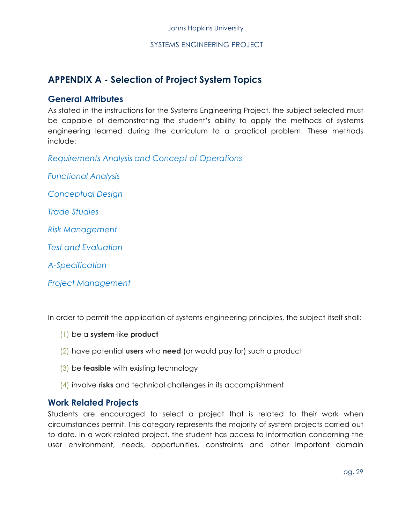## **APPENDIX A - Selection of Project System Topics**

#### **General Attributes**

As stated in the instructions for the Systems Engineering Project, the subject selected must be capable of demonstrating the student's ability to apply the methods of systems engineering learned during the curriculum to a practical problem. These methods include:

*Requirements Analysis and Concept of Operations*

*Functional Analysis* 

*Conceptual Design*

*Trade Studies*

*Risk Management*

*Test and Evaluation*

*A-Specification*

*Project Management*

In order to permit the application of systems engineering principles, the subject itself shall:

- (1) be a **system**-like **product**
- (2) have potential **users** who **need** (or would pay for) such a product
- (3) be **feasible** with existing technology
- (4) involve **risks** and technical challenges in its accomplishment

#### **Work Related Projects**

Students are encouraged to select a project that is related to their work when circumstances permit. This category represents the majority of system projects carried out to date. In a work-related project, the student has access to information concerning the user environment, needs, opportunities, constraints and other important domain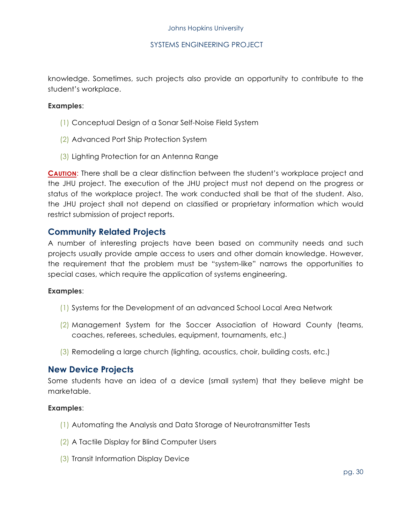knowledge. Sometimes, such projects also provide an opportunity to contribute to the student's workplace.

#### **Examples**:

- (1) Conceptual Design of a Sonar Self-Noise Field System
- (2) Advanced Port Ship Protection System
- (3) Lighting Protection for an Antenna Range

**CAUTION**: There shall be a clear distinction between the student's workplace project and the JHU project. The execution of the JHU project must not depend on the progress or status of the workplace project. The work conducted shall be that of the student. Also, the JHU project shall not depend on classified or proprietary information which would restrict submission of project reports.

#### **Community Related Projects**

A number of interesting projects have been based on community needs and such projects usually provide ample access to users and other domain knowledge. However, the requirement that the problem must be "system-like" narrows the opportunities to special cases, which require the application of systems engineering.

#### **Examples**:

- (1) Systems for the Development of an advanced School Local Area Network
- (2) Management System for the Soccer Association of Howard County (teams, coaches, referees, schedules, equipment, tournaments, etc.)
- (3) Remodeling a large church (lighting, acoustics, choir, building costs, etc.)

#### **New Device Projects**

Some students have an idea of a device (small system) that they believe might be marketable.

#### **Examples**:

- (1) Automating the Analysis and Data Storage of Neurotransmitter Tests
- (2) A Tactile Display for Blind Computer Users
- (3) Transit Information Display Device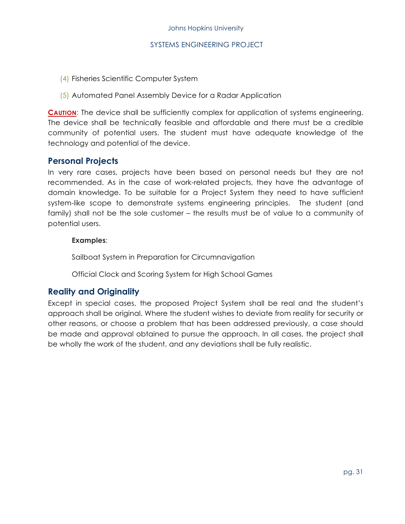- (4) Fisheries Scientific Computer System
- (5) Automated Panel Assembly Device for a Radar Application

**CAUTION:** The device shall be sufficiently complex for application of systems engineering. The device shall be technically feasible and affordable and there must be a credible community of potential users. The student must have adequate knowledge of the technology and potential of the device.

#### **Personal Projects**

In very rare cases, projects have been based on personal needs but they are not recommended. As in the case of work-related projects, they have the advantage of domain knowledge. To be suitable for a Project System they need to have sufficient system-like scope to demonstrate systems engineering principles. The student (and family) shall not be the sole customer – the results must be of value to a community of potential users.

#### **Examples**:

Sailboat System in Preparation for Circumnavigation

Official Clock and Scoring System for High School Games

#### **Reality and Originality**

Except in special cases, the proposed Project System shall be real and the student's approach shall be original. Where the student wishes to deviate from reality for security or other reasons, or choose a problem that has been addressed previously, a case should be made and approval obtained to pursue the approach. In all cases, the project shall be wholly the work of the student, and any deviations shall be fully realistic.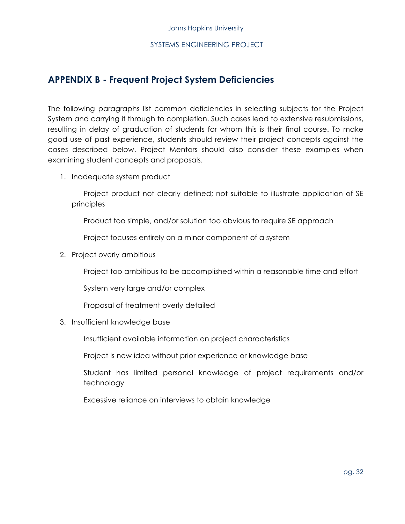#### **APPENDIX B - Frequent Project System Deficiencies**

The following paragraphs list common deficiencies in selecting subjects for the Project System and carrying it through to completion. Such cases lead to extensive resubmissions, resulting in delay of graduation of students for whom this is their final course. To make good use of past experience, students should review their project concepts against the cases described below. Project Mentors should also consider these examples when examining student concepts and proposals.

1. Inadequate system product

Project product not clearly defined; not suitable to illustrate application of SE principles

Product too simple, and/or solution too obvious to require SE approach

Project focuses entirely on a minor component of a system

2. Project overly ambitious

Project too ambitious to be accomplished within a reasonable time and effort

System very large and/or complex

Proposal of treatment overly detailed

3. Insufficient knowledge base

Insufficient available information on project characteristics

Project is new idea without prior experience or knowledge base

Student has limited personal knowledge of project requirements and/or technology

Excessive reliance on interviews to obtain knowledge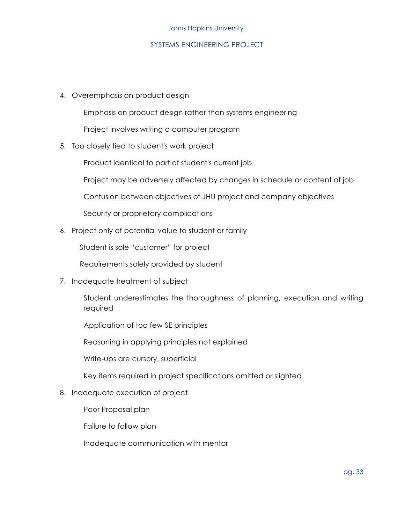#### Johns Hopkins University

#### SYSTEMS ENGINEERING PROJECT

4. Overemphasis on product design

Emphasis on product design rather than systems engineering

Project involves writing a computer program

5. Too closely tied to student's work project

Product identical to part of student's current job

Project may be adversely affected by changes in schedule or content of job

Confusion between objectives of JHU project and company objectives

Security or proprietary complications

6. Project only of potential value to student or family

Student is sole "customer" for project

Requirements solely provided by student

7. Inadequate treatment of subject

Student underestimates the thoroughness of planning, execution and writing required

Application of too few SE principles

Reasoning in applying principles not explained

Write-ups are cursory, superficial

Key items required in project specifications omitted or slighted

#### 8. Inadequate execution of project

Poor Proposal plan

Failure to follow plan

Inadequate communication with mentor